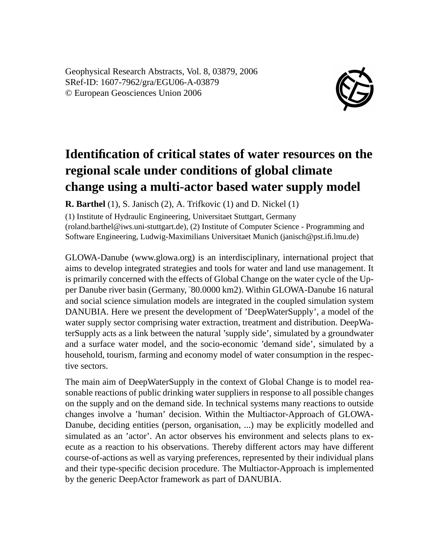Geophysical Research Abstracts, Vol. 8, 03879, 2006 SRef-ID: 1607-7962/gra/EGU06-A-03879 © European Geosciences Union 2006



## **Identification of critical states of water resources on the regional scale under conditions of global climate change using a multi-actor based water supply model**

**R. Barthel** (1), S. Janisch (2), A. Trifkovic (1) and D. Nickel (1)

(1) Institute of Hydraulic Engineering, Universitaet Stuttgart, Germany (roland.barthel@iws.uni-stuttgart.de), (2) Institute of Computer Science - Programming and Software Engineering, Ludwig-Maximilians Universitaet Munich (janisch@pst.ifi.lmu.de)

GLOWA-Danube (www.glowa.org) is an interdisciplinary, international project that aims to develop integrated strategies and tools for water and land use management. It is primarily concerned with the effects of Global Change on the water cycle of the Upper Danube river basin (Germany,˜80.0000 km2). Within GLOWA-Danube 16 natural and social science simulation models are integrated in the coupled simulation system DANUBIA. Here we present the development of 'DeepWaterSupply', a model of the water supply sector comprising water extraction, treatment and distribution. DeepWaterSupply acts as a link between the natural 'supply side', simulated by a groundwater and a surface water model, and the socio-economic 'demand side', simulated by a household, tourism, farming and economy model of water consumption in the respective sectors.

The main aim of DeepWaterSupply in the context of Global Change is to model reasonable reactions of public drinking water suppliers in response to all possible changes on the supply and on the demand side. In technical systems many reactions to outside changes involve a 'human' decision. Within the Multiactor-Approach of GLOWA-Danube, deciding entities (person, organisation, ...) may be explicitly modelled and simulated as an 'actor'. An actor observes his environment and selects plans to execute as a reaction to his observations. Thereby different actors may have different course-of-actions as well as varying preferences, represented by their individual plans and their type-specific decision procedure. The Multiactor-Approach is implemented by the generic DeepActor framework as part of DANUBIA.